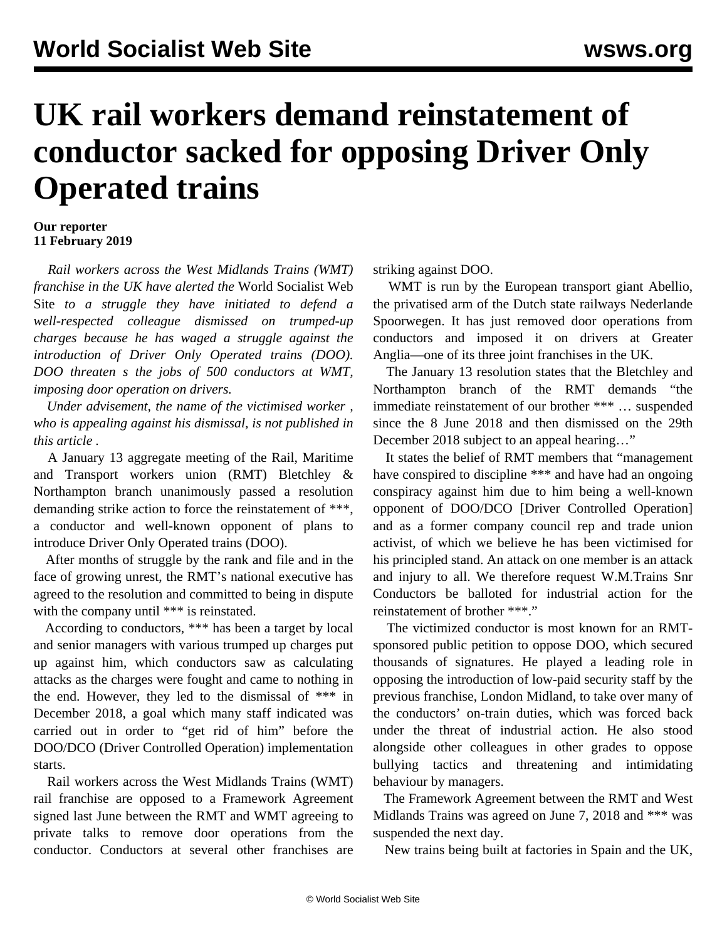## **UK rail workers demand reinstatement of conductor sacked for opposing Driver Only Operated trains**

## **Our reporter 11 February 2019**

 *Rail workers across the West Midlands Trains (WMT) franchise in the UK have alerted the* World Socialist Web Site *to a struggle they have initiated to defend a well-respected colleague dismissed on trumped-up charges because he has waged a struggle against the introduction of Driver Only Operated trains (DOO). DOO threaten s the jobs of 500 conductors at WMT, imposing door operation on drivers.*

 *Under advisement, the name of the victimised worker , who is appealing against his dismissal, is not published in this article .*

 A January 13 aggregate meeting of the Rail, Maritime and Transport workers union (RMT) Bletchley & Northampton branch unanimously passed a resolution demanding strike action to force the reinstatement of \*\*\*, a conductor and well-known opponent of plans to introduce Driver Only Operated trains (DOO).

 After months of struggle by the rank and file and in the face of growing unrest, the RMT's national executive has agreed to the resolution and committed to being in dispute with the company until \*\*\* is reinstated.

 According to conductors, \*\*\* has been a target by local and senior managers with various trumped up charges put up against him, which conductors saw as calculating attacks as the charges were fought and came to nothing in the end. However, they led to the dismissal of \*\*\* in December 2018, a goal which many staff indicated was carried out in order to "get rid of him" before the DOO/DCO (Driver Controlled Operation) implementation starts.

 Rail workers across the West Midlands Trains (WMT) rail franchise are opposed to a Framework Agreement signed last June between the RMT and WMT agreeing to private talks to remove door operations from the conductor. Conductors at several other franchises are striking against DOO.

WMT is run by the European transport giant Abellio, the privatised arm of the Dutch state railways Nederlande Spoorwegen. It has just removed door operations from conductors and imposed it on drivers at Greater Anglia—one of its three joint franchises in the UK.

 The January 13 resolution states that the Bletchley and Northampton branch of the RMT demands "the immediate reinstatement of our brother \*\*\* … suspended since the 8 June 2018 and then dismissed on the 29th December 2018 subject to an appeal hearing…"

 It states the belief of RMT members that "management have conspired to discipline \*\*\* and have had an ongoing conspiracy against him due to him being a well-known opponent of DOO/DCO [Driver Controlled Operation] and as a former company council rep and trade union activist, of which we believe he has been victimised for his principled stand. An attack on one member is an attack and injury to all. We therefore request W.M.Trains Snr Conductors be balloted for industrial action for the reinstatement of brother \*\*\*"

 The victimized conductor is most known for an RMTsponsored public petition to oppose DOO, which secured thousands of signatures. He played a leading role in opposing the introduction of low-paid security staff by the previous franchise, London Midland, to take over many of the conductors' on-train duties, which was forced back under the threat of industrial action. He also stood alongside other colleagues in other grades to oppose bullying tactics and threatening and intimidating behaviour by managers.

 The Framework Agreement between the RMT and West Midlands Trains was agreed on June 7, 2018 and \*\*\* was suspended the next day.

New trains being built at factories in Spain and the UK,